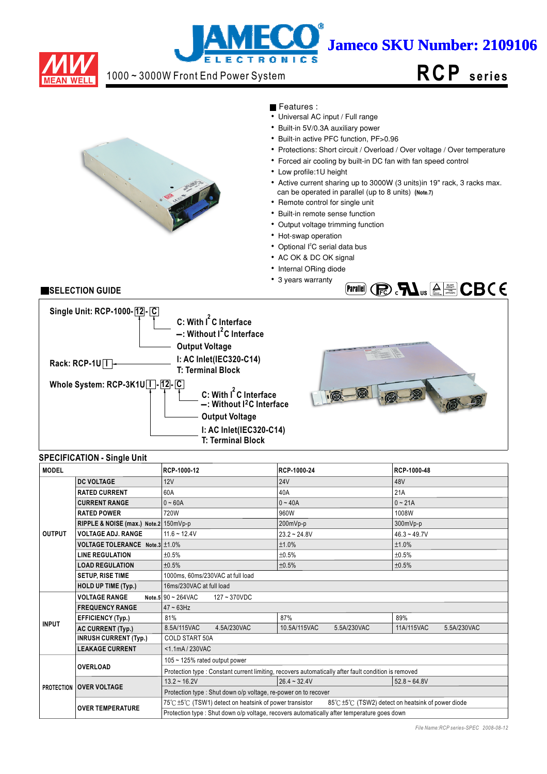

# j **Jameco SKU Number: 2109106** LECTRONIC

# 1000 ~ 3000W Front End Power System





Features :

- $\overline{\bullet}$  Universal AC input / Full range
- Built-in 5V/0.3A auxiliary power
- Built-in active PFC function, PF>0.96
- Protections: Short circuit / Overload / Over voltage / Over temperature
- Forced air cooling by built-in DC fan with fan speed control
- Low profile:1U height
- Active current sharing up to 3000W (3 units)in 19" rack, 3 racks max.
- can be operated in parallel (up to 8 units) **(Note.7)**
- Remote control for single unit
- Built-in remote sense function
- Output voltage trimming function
- Hot-swap operation
- Optional l<sup>2</sup>C serial data bus
- AC OK & DC OK signal
- Internal ORing diode
- 3 years warranty

# **SELECTION GUIDE**



# **SPECIFICATION - Single Unit**

| <b>MODEL</b>  |                                       | RCP-1000-12                                                                                 | RCP-1000-24                                                                                          | RCP-1000-48                                     |  |  |  |
|---------------|---------------------------------------|---------------------------------------------------------------------------------------------|------------------------------------------------------------------------------------------------------|-------------------------------------------------|--|--|--|
|               | <b>DC VOLTAGE</b>                     | 12V                                                                                         | <b>24V</b>                                                                                           | 48V                                             |  |  |  |
|               | <b>RATED CURRENT</b>                  | 60A                                                                                         | 40A                                                                                                  | 21A                                             |  |  |  |
|               | <b>CURRENT RANGE</b>                  | $0 - 60A$                                                                                   | $0 - 40A$                                                                                            | $0 - 21A$                                       |  |  |  |
|               | <b>RATED POWER</b>                    | 720W                                                                                        | 960W                                                                                                 | 1008W                                           |  |  |  |
|               | RIPPLE & NOISE (max.) Note.2 150mVp-p |                                                                                             | 200mVp-p                                                                                             | 300mVp-p                                        |  |  |  |
| <b>OUTPUT</b> | <b>VOLTAGE ADJ. RANGE</b>             | $11.6 - 12.4V$                                                                              | $23.2 - 24.8V$                                                                                       | $46.3 - 49.7V$                                  |  |  |  |
|               | VOLTAGE TOLERANCE Note.3 ±1.0%        |                                                                                             | ±1.0%                                                                                                | ±1.0%                                           |  |  |  |
|               | <b>LINE REGULATION</b>                | ±0.5%                                                                                       | ±0.5%                                                                                                | ±0.5%                                           |  |  |  |
|               | <b>LOAD REGULATION</b>                | ±0.5%                                                                                       | ±0.5%                                                                                                | ±0.5%                                           |  |  |  |
|               | <b>SETUP, RISE TIME</b>               | 1000ms, 60ms/230VAC at full load                                                            |                                                                                                      |                                                 |  |  |  |
|               | <b>HOLD UP TIME (Typ.)</b>            | 16ms/230VAC at full load                                                                    |                                                                                                      |                                                 |  |  |  |
|               | <b>VOLTAGE RANGE</b>                  | Note.5 90 ~ 264VAC<br>$127 - 370$ VDC                                                       |                                                                                                      |                                                 |  |  |  |
|               | <b>FREQUENCY RANGE</b>                | $47 \sim 63$ Hz                                                                             |                                                                                                      |                                                 |  |  |  |
|               | <b>EFFICIENCY (Typ.)</b>              | 81%                                                                                         | 87%                                                                                                  | 89%                                             |  |  |  |
| <b>INPUT</b>  | <b>AC CURRENT (Typ.)</b>              | 8.5A/115VAC<br>4.5A/230VAC                                                                  | 10.5A/115VAC<br>5.5A/230VAC                                                                          | 11A/115VAC<br>5.5A/230VAC                       |  |  |  |
|               | <b>INRUSH CURRENT (Typ.)</b>          | <b>COLD START 50A</b>                                                                       |                                                                                                      |                                                 |  |  |  |
|               | <b>LEAKAGE CURRENT</b>                | <1.1mA/230VAC                                                                               |                                                                                                      |                                                 |  |  |  |
|               |                                       | 105 ~ 125% rated output power                                                               |                                                                                                      |                                                 |  |  |  |
|               | <b>OVERLOAD</b>                       |                                                                                             | Protection type : Constant current limiting, recovers automatically after fault condition is removed |                                                 |  |  |  |
|               |                                       | $13.2 \div 16.2V$                                                                           | $26.4 - 32.4V$                                                                                       | $52.8 - 64.8V$                                  |  |  |  |
|               | <b>PROTECTION OVER VOLTAGE</b>        | Protection type: Shut down o/p voltage, re-power on to recover                              |                                                                                                      |                                                 |  |  |  |
|               | <b>OVER TEMPERATURE</b>               | 75℃±5℃ (TSW1) detect on heatsink of power transistor                                        |                                                                                                      | 85℃±5℃ (TSW2) detect on heatsink of power diode |  |  |  |
|               |                                       | Protection type : Shut down o/p voltage, recovers automatically after temperature goes down |                                                                                                      |                                                 |  |  |  |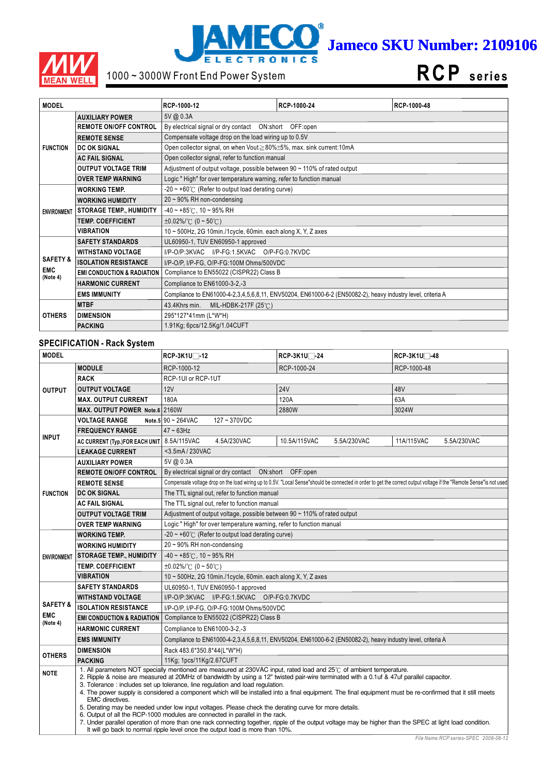



# 1000 ~ 3000W Front End Power System

**RCP s e ri e s**

| <b>MODEL</b>           |                                       | RCP-1000-12                                                                    | RCP-1000-24                                                                                                 | RCP-1000-48 |  |  |  |
|------------------------|---------------------------------------|--------------------------------------------------------------------------------|-------------------------------------------------------------------------------------------------------------|-------------|--|--|--|
|                        | <b>AUXILIARY POWER</b>                | 5V @ 0.3A                                                                      |                                                                                                             |             |  |  |  |
|                        | <b>REMOTE ON/OFF CONTROL</b>          |                                                                                | By electrical signal or dry contact  ON:short  OFF:open                                                     |             |  |  |  |
|                        | <b>REMOTE SENSE</b>                   | Compensate voltage drop on the load wiring up to 0.5V                          |                                                                                                             |             |  |  |  |
| <b>FUNCTION</b>        | <b>DC OK SIGNAL</b>                   | Open collector signal, on when Vout≥80%±5%, max. sink current:10mA             |                                                                                                             |             |  |  |  |
|                        | <b>AC FAIL SIGNAL</b>                 | Open collector signal, refer to function manual                                |                                                                                                             |             |  |  |  |
|                        | <b>OUTPUT VOLTAGE TRIM</b>            | Adjustment of output voltage, possible between $90 \sim 110\%$ of rated output |                                                                                                             |             |  |  |  |
|                        | <b>OVER TEMP WARNING</b>              | Logic "High" for over temperature warning, refer to function manual            |                                                                                                             |             |  |  |  |
|                        | <b>WORKING TEMP.</b>                  | $-20 \sim +60^{\circ}$ (Refer to output load derating curve)                   |                                                                                                             |             |  |  |  |
|                        | <b>WORKING HUMIDITY</b>               | $20 \sim 90\%$ RH non-condensing                                               |                                                                                                             |             |  |  |  |
| <b>ENVIRONMENT</b>     | <b>STORAGE TEMP., HUMIDITY</b>        | $-40 \sim +85^{\circ}$ C, 10 ~ 95% RH                                          |                                                                                                             |             |  |  |  |
|                        | <b>TEMP. COEFFICIENT</b>              | $\pm 0.02\%$ /°C (0 ~ 50°C)                                                    |                                                                                                             |             |  |  |  |
|                        | <b>VIBRATION</b>                      | 10 ~ 500Hz, 2G 10min./1cycle, 60min. each along X, Y, Z axes                   |                                                                                                             |             |  |  |  |
|                        | <b>SAFETY STANDARDS</b>               | UL60950-1, TUV EN60950-1 approved                                              |                                                                                                             |             |  |  |  |
|                        | <b>WITHSTAND VOLTAGE</b>              |                                                                                | I/P-O/P:3KVAC I/P-FG:1.5KVAC O/P-FG:0.7KVDC                                                                 |             |  |  |  |
| <b>SAFETY &amp;</b>    | <b>ISOLATION RESISTANCE</b>           | I/P-O/P, I/P-FG, O/P-FG:100M Ohms/500VDC                                       |                                                                                                             |             |  |  |  |
| <b>EMC</b><br>(Note 4) | <b>EMI CONDUCTION &amp; RADIATION</b> | Compliance to EN55022 (CISPR22) Class B                                        |                                                                                                             |             |  |  |  |
|                        | <b>HARMONIC CURRENT</b>               | Compliance to EN61000-3-2,-3                                                   |                                                                                                             |             |  |  |  |
|                        | <b>EMS IMMUNITY</b>                   |                                                                                | Compliance to EN61000-4-2,3,4,5,6,8,11, ENV50204, EN61000-6-2 (EN50082-2), heavy industry level, criteria A |             |  |  |  |
|                        | <b>MTBF</b>                           | MIL-HDBK-217F $(25^{\circ}$ C)<br>43.4Khrs min.                                |                                                                                                             |             |  |  |  |
| <b>OTHERS</b>          | <b>DIMENSION</b>                      | 295*127*41mm (L*W*H)                                                           |                                                                                                             |             |  |  |  |
|                        | <b>PACKING</b>                        | 1.91Kg; 6pcs/12.5Kg/1.04CUFT                                                   |                                                                                                             |             |  |  |  |

# **SPECIFICATION - Rack System**

| <b>MODEL</b>                       |                                       | RCP-3K1U□-12                                                                                                                                                                                                                                                                                                                                                                                                                                                                                                                                                                                                                                                                                                                                                                                                                                                                                                                                          | RCP-3K1U□-24                                                                                                | RCP-3K1U <sup>-48</sup>                                                                                                                                              |  |  |
|------------------------------------|---------------------------------------|-------------------------------------------------------------------------------------------------------------------------------------------------------------------------------------------------------------------------------------------------------------------------------------------------------------------------------------------------------------------------------------------------------------------------------------------------------------------------------------------------------------------------------------------------------------------------------------------------------------------------------------------------------------------------------------------------------------------------------------------------------------------------------------------------------------------------------------------------------------------------------------------------------------------------------------------------------|-------------------------------------------------------------------------------------------------------------|----------------------------------------------------------------------------------------------------------------------------------------------------------------------|--|--|
|                                    | <b>MODULE</b>                         | RCP-1000-12                                                                                                                                                                                                                                                                                                                                                                                                                                                                                                                                                                                                                                                                                                                                                                                                                                                                                                                                           | RCP-1000-24                                                                                                 | RCP-1000-48                                                                                                                                                          |  |  |
|                                    | <b>RACK</b>                           | RCP-1UI or RCP-1UT                                                                                                                                                                                                                                                                                                                                                                                                                                                                                                                                                                                                                                                                                                                                                                                                                                                                                                                                    |                                                                                                             |                                                                                                                                                                      |  |  |
| <b>OUTPUT</b>                      | <b>OUTPUT VOLTAGE</b>                 | 12V                                                                                                                                                                                                                                                                                                                                                                                                                                                                                                                                                                                                                                                                                                                                                                                                                                                                                                                                                   | <b>24V</b>                                                                                                  | 48V                                                                                                                                                                  |  |  |
|                                    | <b>MAX. OUTPUT CURRENT</b>            | 180A                                                                                                                                                                                                                                                                                                                                                                                                                                                                                                                                                                                                                                                                                                                                                                                                                                                                                                                                                  | 120A                                                                                                        | 63A                                                                                                                                                                  |  |  |
|                                    | MAX. OUTPUT POWER Note.6 2160W        |                                                                                                                                                                                                                                                                                                                                                                                                                                                                                                                                                                                                                                                                                                                                                                                                                                                                                                                                                       | 2880W                                                                                                       | 3024W                                                                                                                                                                |  |  |
|                                    | <b>VOLTAGE RANGE</b>                  | Note.5 $90 \sim 264 \text{VAC}$<br>127~370VDC                                                                                                                                                                                                                                                                                                                                                                                                                                                                                                                                                                                                                                                                                                                                                                                                                                                                                                         |                                                                                                             |                                                                                                                                                                      |  |  |
|                                    | <b>FREQUENCY RANGE</b>                | $47 \sim 63$ Hz                                                                                                                                                                                                                                                                                                                                                                                                                                                                                                                                                                                                                                                                                                                                                                                                                                                                                                                                       |                                                                                                             |                                                                                                                                                                      |  |  |
| <b>INPUT</b>                       | AC CURRENT (Typ.)FOR EACH UNIT        | 4.5A/230VAC<br>8.5A/115VAC                                                                                                                                                                                                                                                                                                                                                                                                                                                                                                                                                                                                                                                                                                                                                                                                                                                                                                                            | 10.5A/115VAC<br>5.5A/230VAC                                                                                 | 11A/115VAC<br>5.5A/230VAC                                                                                                                                            |  |  |
|                                    | <b>LEAKAGE CURRENT</b>                | <3.5mA / 230VAC                                                                                                                                                                                                                                                                                                                                                                                                                                                                                                                                                                                                                                                                                                                                                                                                                                                                                                                                       |                                                                                                             |                                                                                                                                                                      |  |  |
| 5V@ 0.3A<br><b>AUXILIARY POWER</b> |                                       |                                                                                                                                                                                                                                                                                                                                                                                                                                                                                                                                                                                                                                                                                                                                                                                                                                                                                                                                                       |                                                                                                             |                                                                                                                                                                      |  |  |
|                                    | <b>REMOTE ON/OFF CONTROL</b>          | By electrical signal or dry contact  ON:short  OFF:open                                                                                                                                                                                                                                                                                                                                                                                                                                                                                                                                                                                                                                                                                                                                                                                                                                                                                               |                                                                                                             |                                                                                                                                                                      |  |  |
|                                    | <b>REMOTE SENSE</b>                   |                                                                                                                                                                                                                                                                                                                                                                                                                                                                                                                                                                                                                                                                                                                                                                                                                                                                                                                                                       |                                                                                                             | Compensate voltage drop on the load wiring up to 0.5V. "Local Sense"should be connected in order to get the correct output voltage if the "Remote Sense" is not used |  |  |
| <b>FUNCTION</b>                    | <b>DC OK SIGNAL</b>                   | The TTL signal out, refer to function manual                                                                                                                                                                                                                                                                                                                                                                                                                                                                                                                                                                                                                                                                                                                                                                                                                                                                                                          |                                                                                                             |                                                                                                                                                                      |  |  |
|                                    | <b>AC FAIL SIGNAL</b>                 | The TTL signal out, refer to function manual                                                                                                                                                                                                                                                                                                                                                                                                                                                                                                                                                                                                                                                                                                                                                                                                                                                                                                          |                                                                                                             |                                                                                                                                                                      |  |  |
|                                    | <b>OUTPUT VOLTAGE TRIM</b>            | Adjustment of output voltage, possible between 90 ~ 110% of rated output                                                                                                                                                                                                                                                                                                                                                                                                                                                                                                                                                                                                                                                                                                                                                                                                                                                                              |                                                                                                             |                                                                                                                                                                      |  |  |
|                                    | <b>OVER TEMP WARNING</b>              | Logic "High" for over temperature warning, refer to function manual                                                                                                                                                                                                                                                                                                                                                                                                                                                                                                                                                                                                                                                                                                                                                                                                                                                                                   |                                                                                                             |                                                                                                                                                                      |  |  |
|                                    | <b>WORKING TEMP.</b>                  | $-20 \sim +60^{\circ}$ (Refer to output load derating curve)                                                                                                                                                                                                                                                                                                                                                                                                                                                                                                                                                                                                                                                                                                                                                                                                                                                                                          |                                                                                                             |                                                                                                                                                                      |  |  |
|                                    | <b>WORKING HUMIDITY</b>               | 20~90% RH non-condensing                                                                                                                                                                                                                                                                                                                                                                                                                                                                                                                                                                                                                                                                                                                                                                                                                                                                                                                              |                                                                                                             |                                                                                                                                                                      |  |  |
| <b>ENVIRONMENT</b>                 | <b>STORAGE TEMP., HUMIDITY</b>        | $-40 \sim +85^{\circ}$ C, 10 ~ 95% RH                                                                                                                                                                                                                                                                                                                                                                                                                                                                                                                                                                                                                                                                                                                                                                                                                                                                                                                 |                                                                                                             |                                                                                                                                                                      |  |  |
|                                    | <b>TEMP. COEFFICIENT</b>              | $\pm 0.02\%$ /°C (0 ~ 50°C)                                                                                                                                                                                                                                                                                                                                                                                                                                                                                                                                                                                                                                                                                                                                                                                                                                                                                                                           |                                                                                                             |                                                                                                                                                                      |  |  |
|                                    | <b>VIBRATION</b>                      | 10 ~ 500Hz, 2G 10min./1cycle, 60min. each along X, Y, Z axes                                                                                                                                                                                                                                                                                                                                                                                                                                                                                                                                                                                                                                                                                                                                                                                                                                                                                          |                                                                                                             |                                                                                                                                                                      |  |  |
|                                    | <b>SAFETY STANDARDS</b>               | UL60950-1, TUV EN60950-1 approved                                                                                                                                                                                                                                                                                                                                                                                                                                                                                                                                                                                                                                                                                                                                                                                                                                                                                                                     |                                                                                                             |                                                                                                                                                                      |  |  |
| <b>SAFETY &amp;</b>                | <b>WITHSTAND VOLTAGE</b>              | I/P-O/P:3KVAC I/P-FG:1.5KVAC O/P-FG:0.7KVDC                                                                                                                                                                                                                                                                                                                                                                                                                                                                                                                                                                                                                                                                                                                                                                                                                                                                                                           |                                                                                                             |                                                                                                                                                                      |  |  |
|                                    | <b>ISOLATION RESISTANCE</b>           | I/P-O/P, I/P-FG, O/P-FG:100M Ohms/500VDC                                                                                                                                                                                                                                                                                                                                                                                                                                                                                                                                                                                                                                                                                                                                                                                                                                                                                                              |                                                                                                             |                                                                                                                                                                      |  |  |
| <b>EMC</b><br>(Note 4)             | <b>EMI CONDUCTION &amp; RADIATION</b> | Compliance to EN55022 (CISPR22) Class B                                                                                                                                                                                                                                                                                                                                                                                                                                                                                                                                                                                                                                                                                                                                                                                                                                                                                                               |                                                                                                             |                                                                                                                                                                      |  |  |
|                                    | <b>HARMONIC CURRENT</b>               | Compliance to EN61000-3-2,-3                                                                                                                                                                                                                                                                                                                                                                                                                                                                                                                                                                                                                                                                                                                                                                                                                                                                                                                          |                                                                                                             |                                                                                                                                                                      |  |  |
|                                    | <b>EMS IMMUNITY</b>                   |                                                                                                                                                                                                                                                                                                                                                                                                                                                                                                                                                                                                                                                                                                                                                                                                                                                                                                                                                       | Compliance to EN61000-4-2,3,4,5,6,8,11, ENV50204, EN61000-6-2 (EN50082-2), heavy industry level, criteria A |                                                                                                                                                                      |  |  |
| <b>OTHERS</b>                      | <b>DIMENSION</b>                      | Rack 483.6*350.8*44(L*W*H)                                                                                                                                                                                                                                                                                                                                                                                                                                                                                                                                                                                                                                                                                                                                                                                                                                                                                                                            |                                                                                                             |                                                                                                                                                                      |  |  |
|                                    | <b>PACKING</b>                        | 11Kg; 1pcs/11Kg/2.67CUFT                                                                                                                                                                                                                                                                                                                                                                                                                                                                                                                                                                                                                                                                                                                                                                                                                                                                                                                              |                                                                                                             |                                                                                                                                                                      |  |  |
| <b>NOTE</b>                        | <b>EMC</b> directives.                | 1. All parameters NOT specially mentioned are measured at 230VAC input, rated load and 25°C of ambient temperature.<br>2. Ripple & noise are measured at 20MHz of bandwidth by using a 12" twisted pair-wire terminated with a 0.1uf & 47uf parallel capacitor.<br>3. Tolerance : includes set up tolerance, line regulation and load regulation.<br>4. The power supply is considered a component which will be installed into a final equipment. The final equipment must be re-confirmed that it still meets<br>5. Derating may be needed under low input voltages. Please check the derating curve for more details.<br>6. Output of all the RCP-1000 modules are connected in parallel in the rack.<br>7. Under parallel operation of more than one rack connecting together, ripple of the output voltage may be higher than the SPEC at light load condition.<br>It will go back to normal ripple level once the output load is more than 10%. |                                                                                                             |                                                                                                                                                                      |  |  |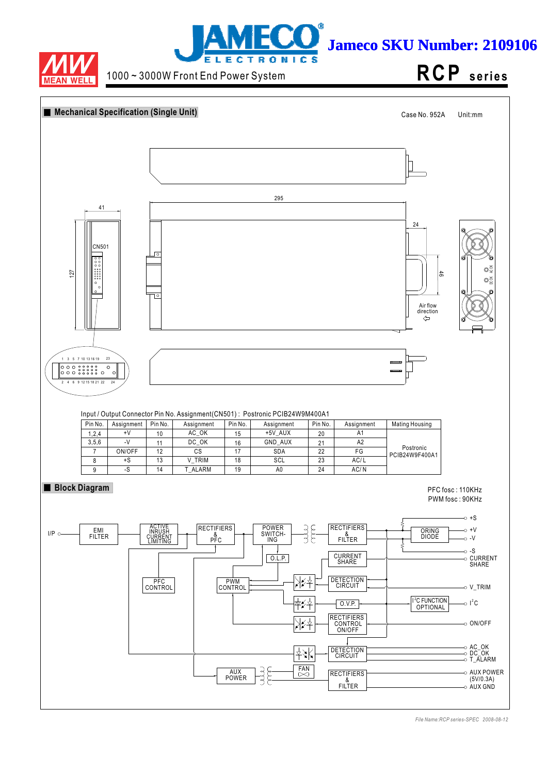



1000 ~ 3000W Front End Power System

**RCP s e ri e s**

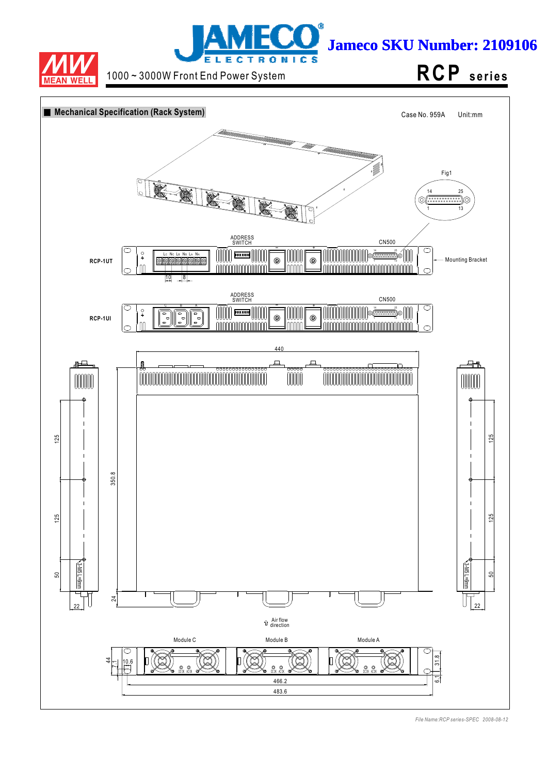



1000 ~ 3000W Front End Power System **RCP** series

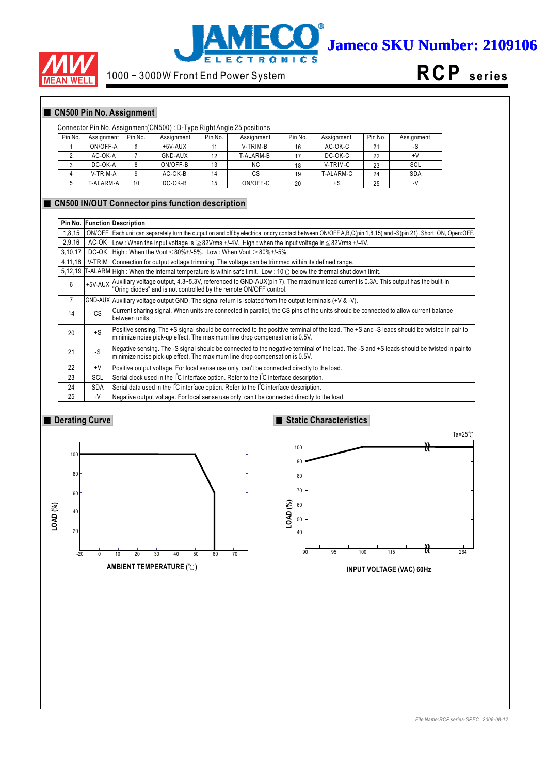



# 1000 ~ 3000W Front End Power System



# **CN500 Pin No. Assignment**

## Connector Pin No. Assignment(CN500) : D-Type Right Angle 25 positions

| Pin No. | Assignment | Pin No. | Assignment | Pin No. | Assignment | Pin No. | Assignment | Pin No. | Assignment |
|---------|------------|---------|------------|---------|------------|---------|------------|---------|------------|
|         | ON/OFF-A   | 6       | $+5V-AUX$  |         | V-TRIM-B   | 16      | AC-OK-C    | 21      | -১         |
|         | AC-OK-A    |         | GND-AUX    | 12      | T-ALARM-B  |         | DC-OK-C    | 22      | +٧         |
|         | DC-OK-A    |         | ON/OFF-B   | 13      | <b>NC</b>  | 18      | V-TRIM-C   | 23      | SCL        |
|         | V-TRIM-A   |         | AC-OK-B    | 14      | СS         | 19      | T-ALARM-C  | 24      | <b>SDA</b> |
|         | T-ALARM-A  | 10      | DC-OK-B    | 15      | ON/OFF-C   | 20      | +S         | 25      | $-V$       |

#### **CN500 IN/OUT Connector pins function description**

| Pin No. |            | <b>Function Description</b>                                                                                                                                                                                                      |
|---------|------------|----------------------------------------------------------------------------------------------------------------------------------------------------------------------------------------------------------------------------------|
| 1,8,15  |            | ON/OFF   Each unit can separately turn the output on and off by electrical or dry contact between ON/OFF A,B,C(pin 1,8,15) and -S(pin 21). Short: ON, Open:OFF.                                                                  |
| 2,9,16  |            | AC-OK Low: When the input voltage is $\geq$ 82Vrms +/-4V. High: when the input voltage in $\leq$ 82Vrms +/-4V.                                                                                                                   |
| 3,10,17 |            | DC-OK   High: When the Vout $\leq 80\% + 1.5\%$ . Low: When Vout $\geq 80\% + 1.5\%$                                                                                                                                             |
| 4,11,18 |            | V-TRIM Connection for output voltage trimming. The voltage can be trimmed within its defined range.                                                                                                                              |
| 5,12,19 |            | $[T-ALARM]$ High: When the internal temperature is within safe limit. Low: 10°C below the thermal shut down limit.                                                                                                               |
| 6       |            | $+5$ V-AUX $\bigg $ Auxiliary voltage output, 4.3~5.3V, referenced to GND-AUX(pin 7). The maximum load current is 0.3A. This output has the built-in $\bigg $ "Oring diodes" and is not controlled by the remote ON/OFF control. |
| 7       |            | $ GND-AUX $ Auxiliary voltage output GND. The signal return is isolated from the output terminals (+V & -V).                                                                                                                     |
| 14      | CS         | Current sharing signal. When units are connected in parallel, the CS pins of the units should be connected to allow current balance<br>between units.                                                                            |
| 20      | $+S$       | Positive sensing. The +S signal should be connected to the positive terminal of the load. The +S and -S leads should be twisted in pair to<br>minimize noise pick-up effect. The maximum line drop compensation is 0.5V.         |
| 21      | -S         | Negative sensing. The -S signal should be connected to the negative terminal of the load. The -S and +S leads should be twisted in pair to<br>minimize noise pick-up effect. The maximum line drop compensation is 0.5V.         |
| 22      | $+V$       | Positive output voltage. For local sense use only, can't be connected directly to the load.                                                                                                                                      |
| 23      | <b>SCL</b> | Serial clock used in the IC interface option. Refer to the IC interface description.                                                                                                                                             |
| 24      | <b>SDA</b> | Serial data used in the I <sup>'</sup> C interface option. Refer to the I <sup>'</sup> C interface description.                                                                                                                  |
| 25      | -V         | Negative output voltage. For local sense use only, can't be connected directly to the load.                                                                                                                                      |

## **Derating Curve**



# **Static Characteristics**



**INPUT VOLTAGE (VAC) 60Hz**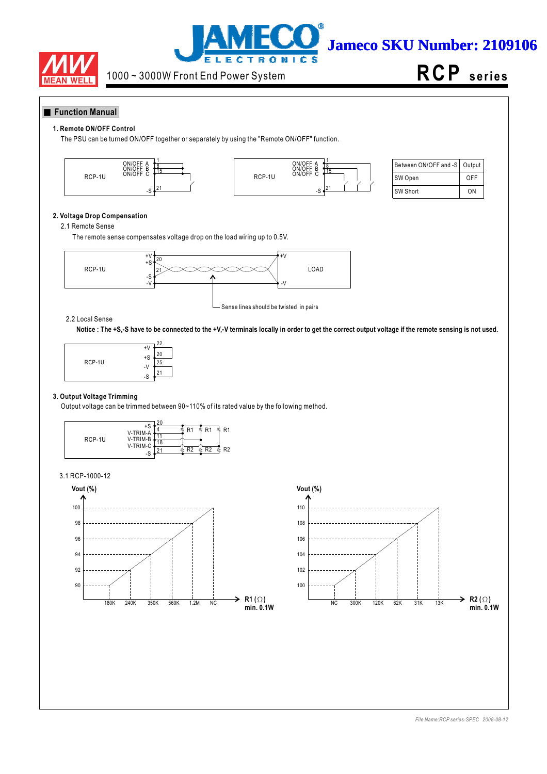



**RCP s e ri e s**

## **Function Manual**

#### **1. Remote ON/OFF Control**

The PSU can be turned ON/OFF together or separately by using the "Remote ON/OFF" function.





| Between ON/OFF and -S   Output |     |
|--------------------------------|-----|
| SW Open                        | OFF |
| SW Short                       | ΩN  |

## **2. Voltage Drop Compensation**

#### 2.1 Remote Sense

The remote sense compensates voltage drop on the load wiring up to 0.5V.



#### 2.2 Local Sense

**Notice : The +S,-S have to be connected to the +V,-V terminals locally in order to get the correct output voltage if the remote sensing is not used.**



#### **3. Output Voltage Trimming**

Output voltage can be trimmed between 90~110% of its rated value by the following method.



#### 3.1 RCP-1000-12



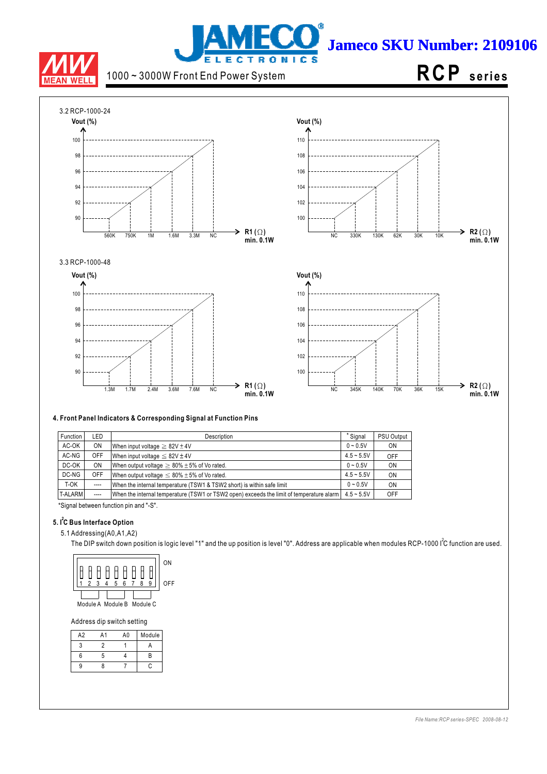

# j **Jameco SKU Number: 2109106 LECTRONICS**

1000 ~ 3000W Front End Power System

# **RCP s e ri e s**



## **4. Front Panel Indicators & Corresponding Signal at Function Pins**

| Function | LED       | <b>Description</b>                                                                       | * Signal     | <b>PSU Output</b> |
|----------|-----------|------------------------------------------------------------------------------------------|--------------|-------------------|
| AC-OK    | <b>ON</b> | When input voltage $\geq 82V \pm 4V$                                                     | $0 - 0.5V$   | ON                |
| AC-NG    | OFF       | When input voltage $\leq 82V \pm 4V$                                                     | $4.5 - 5.5V$ | OFF               |
| DC-OK    | <b>ON</b> | When output voltage $\geq 80\% \pm 5\%$ of Vo rated.                                     | $0 - 0.5V$   | ON                |
| DC-NG    | OFF       | When output voltage $\leq 80\% \pm 5\%$ of Vo rated.                                     | $4.5 - 5.5V$ | ON                |
| T-OK     | $---$     | When the internal temperature (TSW1 & TSW2 short) is within safe limit                   | $0 - 0.5V$   | ON                |
| T-ALARM  | $---$     | When the internal temperature (TSW1 or TSW2 open) exceeds the limit of temperature alarm | $4.5 - 5.5V$ | OFF               |

\*Signal between function pin and "-S".

# **5. I C Bus Interface Option 2**

5.1 Addressing(A0,A1,A2)

The DIP switch down position is logic level "1" and the up position is level "0". Address are applicable when modules RCP-1000 I<sup>2</sup>C function are used.



Address dip switch setting

| A2 | A1 | A0 | Module |
|----|----|----|--------|
|    |    |    |        |
| 6  | ∽  |    | R      |
| q  |    |    | c      |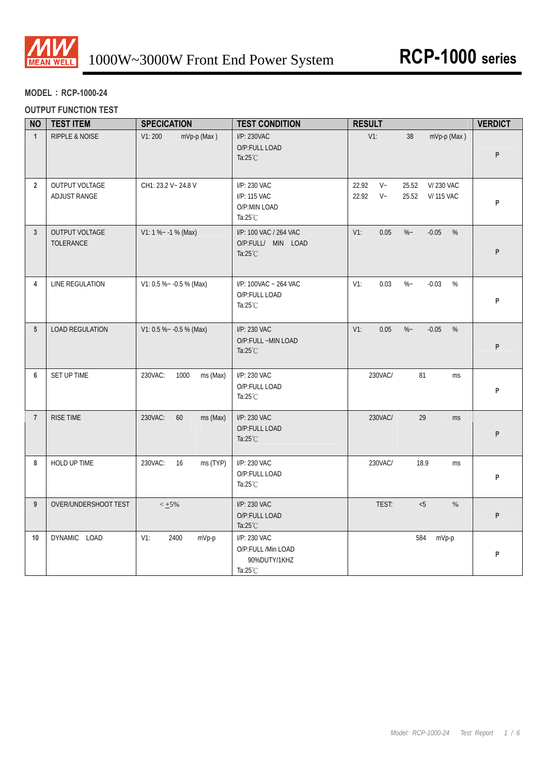

# **MODEL**:**RCP-1000-24**

# **OUTPUT FUNCTION TEST**

| <b>NO</b>       | <b>TEST ITEM</b>                   | <b>SPECICATION</b>          | <b>TEST CONDITION</b>                                                    | <b>RESULT</b>                                                                | <b>VERDICT</b> |
|-----------------|------------------------------------|-----------------------------|--------------------------------------------------------------------------|------------------------------------------------------------------------------|----------------|
| $\mathbf{1}$    | RIPPLE & NOISE                     | V1:200<br>mVp-p (Max)       | I/P: 230VAC<br>O/P:FULL LOAD<br>Ta: $25^{\circ}$ C                       | $V1$ :<br>mVp-p (Max)<br>38                                                  | P              |
| $\overline{2}$  | OUTPUT VOLTAGE<br>ADJUST RANGE     | CH1: 23.2 V ~ 24.8 V        | I/P: 230 VAC<br>I/P: 115 VAC<br>O/P:MIN LOAD<br>Ta: $25^{\circ}$ C       | $V -$<br>22.92<br>25.52<br>V/230 VAC<br>$V -$<br>22.92<br>25.52<br>V/115 VAC | P              |
| $\mathbf{3}$    | OUTPUT VOLTAGE<br><b>TOLERANCE</b> | $V1: 1 % ~ -1 % (Max)$      | I/P: 100 VAC / 264 VAC<br>O/P:FULL/ MIN LOAD<br>Ta: $25^{\circ}$ C       | $V1$ :<br>0.05<br>$\%$ ~<br>$-0.05$<br>%                                     | P              |
| 4               | LINE REGULATION                    | V1: 0.5 % ~ - 0.5 % (Max)   | I/P: 100VAC ~ 264 VAC<br>O/P:FULL LOAD<br>Ta: $25^{\circ}$ C             | 0.03<br>$\%$ ~<br>$-0.03$<br>%<br>$V1$ :                                     | P              |
| $5\phantom{.0}$ | <b>LOAD REGULATION</b>             | V1: 0.5 % ~ - 0.5 % (Max)   | I/P: 230 VAC<br>O/P:FULL ~MIN LOAD<br>Ta: $25^{\circ}$ C                 | $V1$ :<br>0.05<br>$\%$ ~<br>$-0.05$<br>%                                     | P              |
| 6               | SET UP TIME                        | 230VAC:<br>1000<br>ms (Max) | I/P: 230 VAC<br>O/P:FULL LOAD<br>Ta: $25^{\circ}$ C                      | 230VAC/<br>81<br>ms                                                          | P              |
| $\overline{7}$  | <b>RISE TIME</b>                   | 60<br>230VAC:<br>ms (Max)   | I/P: 230 VAC<br>O/P:FULL LOAD<br>Ta: $25^{\circ}$ C                      | 29<br>230VAC/<br><b>ms</b>                                                   | P              |
| 8               | HOLD UP TIME                       | 230VAC:<br>16<br>ms (TYP)   | I/P: 230 VAC<br>O/P:FULL LOAD<br>Ta: $25^{\circ}$ C                      | 230VAC/<br>18.9<br>ms                                                        | P              |
| 9               | OVER/UNDERSHOOT TEST               | $< +5\%$                    | I/P: 230 VAC<br>O/P:FULL LOAD<br>Ta: $25^{\circ}$ C                      | TEST:<br>< 5<br>$\%$                                                         | P              |
| 10              | DYNAMIC LOAD                       | $V1$ :<br>2400<br>mVp-p     | I/P: 230 VAC<br>O/P:FULL /Min LOAD<br>90%DUTY/1KHZ<br>Ta: $25^{\circ}$ C | 584<br>mVp-p                                                                 | P              |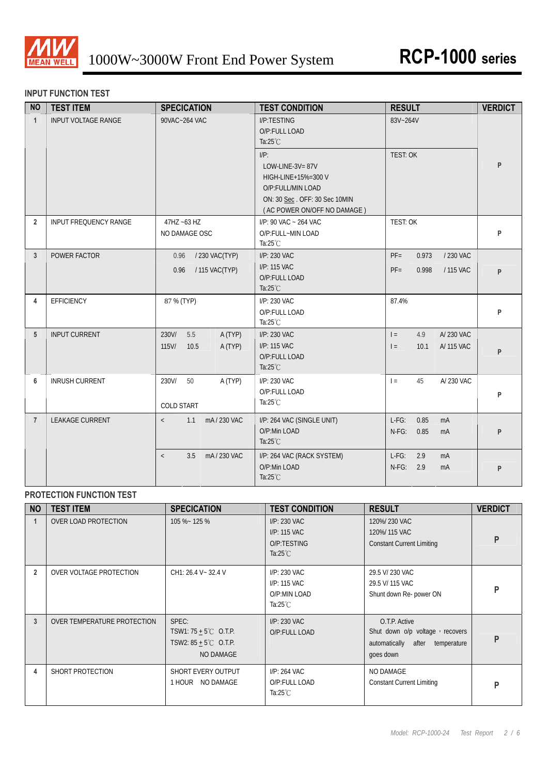

# **INPUT FUNCTION TEST**

| <b>NO</b>      | <b>TEST ITEM</b>           | <b>SPECICATION</b>                                     | <b>TEST CONDITION</b>                                                                                    | <b>RESULT</b>                                                | <b>VERDICT</b> |
|----------------|----------------------------|--------------------------------------------------------|----------------------------------------------------------------------------------------------------------|--------------------------------------------------------------|----------------|
| $\mathbf{1}$   | <b>INPUT VOLTAGE RANGE</b> | 90VAC~264 VAC                                          | I/P:TESTING<br>O/P:FULL LOAD<br>Ta: $25^{\circ}$ C<br>$I/P$ :<br>LOW-LINE-3V=87V                         | 83V~264V<br><b>TEST: OK</b>                                  | P              |
|                |                            |                                                        | HIGH-LINE+15%=300 V<br>O/P:FULL/MIN LOAD<br>ON: 30 Sec. OFF: 30 Sec 10MIN<br>(AC POWER ON/OFF NO DAMAGE) |                                                              |                |
| $\overline{2}$ | INPUT FREQUENCY RANGE      | 47HZ ~63 HZ<br>NO DAMAGE OSC                           | I/P: 90 VAC ~ 264 VAC<br>O/P:FULL~MIN LOAD<br>Ta: $25^{\circ}$ C                                         | TEST: OK                                                     | P              |
| $\mathbf{3}$   | POWER FACTOR               | / 230 VAC(TYP)<br>0.96<br>/ 115 VAC(TYP)<br>0.96       | I/P: 230 VAC<br>I/P: 115 VAC<br>O/P:FULL LOAD<br>Ta: $25^{\circ}$ C                                      | $PF =$<br>0.973<br>/ 230 VAC<br>$PF =$<br>0.998<br>/ 115 VAC | P              |
| 4              | EFFICIENCY                 | 87 % (TYP)                                             | I/P: 230 VAC<br>O/P:FULL LOAD<br>Ta: $25^{\circ}$ C                                                      | 87.4%                                                        | P              |
| 5              | <b>INPUT CURRENT</b>       | 230V/<br>5.5<br>A (TYP)<br>$115$ V/<br>10.5<br>A (TYP) | I/P: 230 VAC<br>I/P: 115 VAC<br>O/P:FULL LOAD<br>Ta: $25^{\circ}$ C                                      | A/230 VAC<br>$=$<br>4.9<br>$\vert$ =<br>10.1<br>A/ 115 VAC   | P              |
| 6              | <b>INRUSH CURRENT</b>      | 230V/<br>50<br>A (TYP)<br><b>COLD START</b>            | I/P: 230 VAC<br>O/P:FULL LOAD<br>Ta: $25^{\circ}$ C                                                      | 45<br>A/230 VAC<br>$=$                                       | P              |
| $\overline{7}$ | <b>LEAKAGE CURRENT</b>     | mA/230 VAC<br>1.1<br>$\langle$                         | I/P: 264 VAC (SINGLE UNIT)<br>O/P:Min LOAD<br>Ta: $25^{\circ}$ C                                         | $L-FG$ :<br>0.85<br>mA<br>$N-FG$ :<br>0.85<br>m <sub>A</sub> | P              |
|                |                            | 3.5<br>mA/230 VAC<br>$\langle$                         | I/P: 264 VAC (RACK SYSTEM)<br>O/P:Min LOAD<br>Ta: $25^{\circ}$ C                                         | $L-FG$ :<br>2.9<br>mA<br>$N-FG$ :<br>2.9<br>mA               | P              |

# **PROTECTION FUNCTION TEST**

| <b>NO</b>      | <b>TEST ITEM</b>            | <b>SPECICATION</b>                                                                       | <b>TEST CONDITION</b>                                              | <b>RESULT</b>                                                                                       | <b>VERDICT</b> |
|----------------|-----------------------------|------------------------------------------------------------------------------------------|--------------------------------------------------------------------|-----------------------------------------------------------------------------------------------------|----------------|
|                | OVER LOAD PROTECTION        | 105 %~ 125 %                                                                             | I/P: 230 VAC<br>I/P: 115 VAC<br>O/P:TESTING<br>Ta: $25^{\circ}$ C  | 120%/230 VAC<br>120%/115 VAC<br><b>Constant Current Limiting</b>                                    | P              |
| $\overline{2}$ | OVER VOLTAGE PROTECTION     | CH1: 26.4 V ~ 32.4 V                                                                     | I/P: 230 VAC<br>I/P: 115 VAC<br>O/P:MIN LOAD<br>Ta: $25^{\circ}$ C | 29.5 V/ 230 VAC<br>29.5 V/ 115 VAC<br>Shunt down Re- power ON                                       | P              |
| 3              | OVER TEMPERATURE PROTECTION | SPEC:<br>TSW1: $75 + 5^{\circ}$ C O.T.P.<br>TSW2: $85 + 5^{\circ}$ C O.T.P.<br>NO DAMAGE | I/P: 230 VAC<br>O/P:FULL LOAD                                      | O.T.P. Active<br>Shut down o/p voltage, recovers<br>automatically after<br>temperature<br>goes down | P              |
| 4              | SHORT PROTECTION            | SHORT EVERY OUTPUT<br>1 HOUR NO DAMAGE                                                   | I/P: 264 VAC<br>O/P:FULL LOAD<br>Ta: $25^{\circ}$ C                | NO DAMAGE<br><b>Constant Current Limiting</b>                                                       | P              |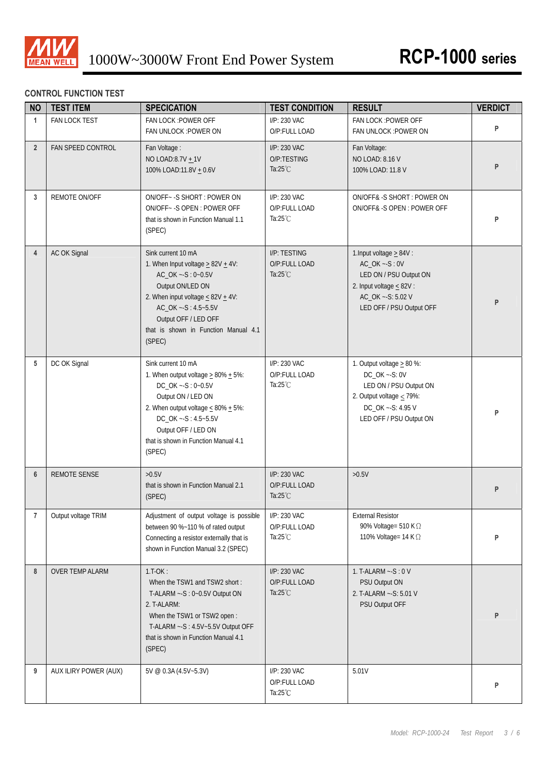

# **CONTROL FUNCTION TEST**

| <b>NO</b>      | <b>TEST ITEM</b>       | <b>SPECICATION</b>                                                                                                                                                                                                                                           | <b>TEST CONDITION</b>                               | <b>RESULT</b>                                                                                                                                                | <b>VERDICT</b> |
|----------------|------------------------|--------------------------------------------------------------------------------------------------------------------------------------------------------------------------------------------------------------------------------------------------------------|-----------------------------------------------------|--------------------------------------------------------------------------------------------------------------------------------------------------------------|----------------|
| $\mathbf{1}$   | FAN LOCK TEST          | FAN LOCK : POWER OFF<br>FAN UNLOCK : POWER ON                                                                                                                                                                                                                | I/P: 230 VAC<br>O/P:FULL LOAD                       | FAN LOCK : POWER OFF<br>FAN UNLOCK : POWER ON                                                                                                                | P              |
| $2^{\circ}$    | FAN SPEED CONTROL      | Fan Voltage:<br>NO LOAD:8.7V + 1V<br>100% LOAD:11.8V + 0.6V                                                                                                                                                                                                  | I/P: 230 VAC<br>O/P:TESTING<br>Ta: $25^{\circ}$ C   | Fan Voltage:<br>NO LOAD: 8.16 V<br>100% LOAD: 11.8 V                                                                                                         | P              |
| 3              | REMOTE ON/OFF          | ON/OFF~ - S SHORT: POWER ON<br>ON/OFF~ - S OPEN: POWER OFF<br>that is shown in Function Manual 1.1<br>(SPEC)                                                                                                                                                 | I/P: 230 VAC<br>O/P:FULL LOAD<br>Ta: $25^{\circ}$ C | ON/OFF&-S SHORT: POWER ON<br>ON/OFF& -S OPEN : POWER OFF                                                                                                     | P              |
| $\overline{4}$ | AC OK Signal           | Sink current 10 mA<br>1. When Input voltage $\geq$ 82V $\pm$ 4V:<br>AC_OK ~- S: 0~0.5V<br>Output ON/LED ON<br>2. When input voltage $\leq 82V + 4V$ :<br>AC_OK ~- S: 4.5~5.5V<br>Output OFF / LED OFF<br>that is shown in Function Manual 4.1<br>(SPEC)      | I/P: TESTING<br>O/P:FULL LOAD<br>Ta: $25^{\circ}$ C | 1. Input voltage $\geq 84V$ :<br>$AC_OK -S: 0V$<br>LED ON / PSU Output ON<br>2. Input voltage $\leq 82V$ :<br>AC_OK ~- S: 5.02 V<br>LED OFF / PSU Output OFF | P              |
| 5              | DC OK Signal           | Sink current 10 mA<br>1. When output voltage $\geq$ 80% $\pm$ 5%:<br>DC_OK ~- S: 0~0.5V<br>Output ON / LED ON<br>2. When output voltage $\leq 80\% + 5\%$ :<br>DC_OK ~- S: 4.5~5.5V<br>Output OFF / LED ON<br>that is shown in Function Manual 4.1<br>(SPEC) | I/P: 230 VAC<br>O/P:FULL LOAD<br>Ta: $25^{\circ}$ C | 1. Output voltage $\geq 80$ %:<br>DC_OK ~- S: 0V<br>LED ON / PSU Output ON<br>2. Output voltage $\leq$ 79%:<br>DC_OK ~- S: 4.95 V<br>LED OFF / PSU Output ON | P              |
| 6              | <b>REMOTE SENSE</b>    | >0.5V<br>that is shown in Function Manual 2.1<br>(SPEC)                                                                                                                                                                                                      | I/P: 230 VAC<br>O/P:FULL LOAD<br>Ta: $25^{\circ}$ C | $>0.5V$                                                                                                                                                      | P              |
| $\overline{7}$ | Output voltage TRIM    | Adjustment of output voltage is possible<br>between 90 %~110 % of rated output<br>Connecting a resistor externally that is<br>shown in Function Manual 3.2 (SPEC)                                                                                            | I/P: 230 VAC<br>O/P:FULL LOAD<br>Ta: $25^{\circ}$ C | <b>External Resistor</b><br>90% Voltage= 510 K Ω<br>110% Voltage= 14 K $\Omega$                                                                              | P              |
| 8              | <b>OVER TEMP ALARM</b> | $1.T-OK:$<br>When the TSW1 and TSW2 short:<br>T-ALARM ~- S: 0~0.5V Output ON<br>2. T-ALARM:<br>When the TSW1 or TSW2 open:<br>T-ALARM ~- S: 4.5V~5.5V Output OFF<br>that is shown in Function Manual 4.1<br>(SPEC)                                           | I/P: 230 VAC<br>O/P:FULL LOAD<br>Ta: $25^{\circ}$ C | 1. T-ALARM $\sim$ -S: 0 V<br>PSU Output ON<br>2. T-ALARM ~- S: 5.01 V<br>PSU Output OFF                                                                      | P              |
| 9              | AUX ILIRY POWER (AUX)  | 5V @ 0.3A (4.5V~5.3V)                                                                                                                                                                                                                                        | I/P: 230 VAC<br>O/P:FULL LOAD<br>Ta: $25^{\circ}$ C | 5.01V                                                                                                                                                        | P              |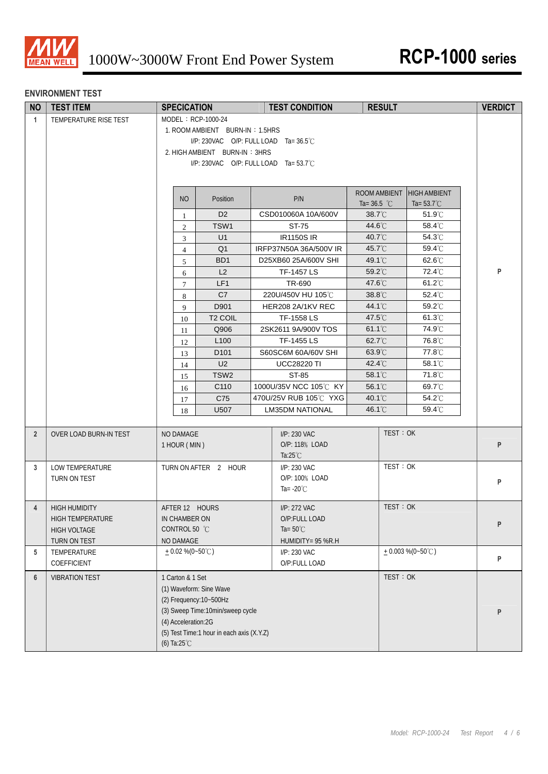

## **ENVIRONMENT TEST**

| <b>NO</b>      | <b>TEST ITEM</b>                                                         | <b>SPECICATION</b>                                                                                                                                                                                       | <b>TEST CONDITION</b>                                                    | <b>RESULT</b>                 |                                             | <b>VERDICT</b> |
|----------------|--------------------------------------------------------------------------|----------------------------------------------------------------------------------------------------------------------------------------------------------------------------------------------------------|--------------------------------------------------------------------------|-------------------------------|---------------------------------------------|----------------|
| $\mathbf{1}$   | TEMPERATURE RISE TEST                                                    | MODEL: RCP-1000-24<br>1. ROOM AMBIENT BURN-IN: 1.5HRS<br>I/P: 230VAC O/P: FULL LOAD Ta=36.5°C<br>2. HIGH AMBIENT BURN-IN: 3HRS<br>I/P: 230VAC O/P: FULL LOAD Ta= 53.7°C                                  |                                                                          |                               |                                             |                |
|                |                                                                          | <b>NO</b><br>Position                                                                                                                                                                                    | P/N                                                                      | ROOM AMBIENT<br>Ta= $36.5$ °C | <b>HIGH AMBIENT</b><br>Ta= $53.7^{\circ}$ C |                |
|                |                                                                          | D <sub>2</sub><br>$\mathbf{1}$                                                                                                                                                                           | CSD010060A 10A/600V                                                      | 38.7°C                        | 51.9°C                                      |                |
|                |                                                                          | TSW1<br>$\mathfrak{2}$                                                                                                                                                                                   | ST-75                                                                    | 44.6°C                        | 58.4°C                                      |                |
|                |                                                                          | U1<br>3                                                                                                                                                                                                  | <b>IR1150S IR</b>                                                        | 40.7°C                        | 54.3°C                                      |                |
|                |                                                                          | Q <sub>1</sub><br>$\overline{4}$                                                                                                                                                                         | IRFP37N50A 36A/500V IR                                                   | 45.7°C                        | 59.4°C                                      |                |
|                |                                                                          | BD <sub>1</sub><br>5                                                                                                                                                                                     | D25XB60 25A/600V SHI                                                     | 49.1°C                        | 62.6°C                                      |                |
|                |                                                                          | L2<br>6                                                                                                                                                                                                  | TF-1457 LS                                                               | 59.2°C                        | 72.4°C                                      | P              |
|                |                                                                          | LF1<br>$\tau$                                                                                                                                                                                            | TR-690                                                                   | 47.6°C                        | 61.2°C                                      |                |
|                |                                                                          | C7<br>8<br>D901                                                                                                                                                                                          | 220U/450V HU 105℃<br>HER208 2A/1KV REC                                   | 38.8°C<br>44.1°C              | 52.4°C<br>59.2°C                            |                |
|                |                                                                          | 9<br>T <sub>2</sub> COIL                                                                                                                                                                                 | TF-1558 LS                                                               | 47.5°C                        | $61.3^{\circ}$ C                            |                |
|                |                                                                          | 10<br>Q906<br>11                                                                                                                                                                                         | 2SK2611 9A/900V TOS                                                      | 61.1°C                        | 74.9°C                                      |                |
|                |                                                                          | L <sub>100</sub><br>12                                                                                                                                                                                   | TF-1455 LS                                                               | 62.7°C                        | 76.8°C                                      |                |
|                |                                                                          | D <sub>101</sub><br>13                                                                                                                                                                                   | S60SC6M 60A/60V SHI                                                      | 63.9°C                        | 77.8°C                                      |                |
|                |                                                                          | U <sub>2</sub><br>14                                                                                                                                                                                     | <b>UCC28220 TI</b>                                                       | 42.4°C                        | 58.1°C                                      |                |
|                |                                                                          | TSW <sub>2</sub><br>15                                                                                                                                                                                   | ST-85                                                                    | 58.1°C                        | 71.8°C                                      |                |
|                |                                                                          | C110<br>16                                                                                                                                                                                               | 1000U/35V NCC 105°C KY                                                   | 56.1°C                        | 69.7°C                                      |                |
|                |                                                                          | C75<br>17                                                                                                                                                                                                | 470U/25V RUB 105℃ YXG                                                    | 40.1°C                        | 54.2°C                                      |                |
|                |                                                                          | U507<br>18                                                                                                                                                                                               | <b>LM35DM NATIONAL</b>                                                   | 46.1°C                        | 59.4°C                                      |                |
| $\overline{2}$ | OVER LOAD BURN-IN TEST                                                   | NO DAMAGE<br>1 HOUR (MIN)                                                                                                                                                                                | I/P: 230 VAC<br>O/P: 118% LOAD<br>Ta: $25^{\circ}$ C                     | TEST: OK                      |                                             | P              |
| 3              | LOW TEMPERATURE<br>TURN ON TEST                                          | TURN ON AFTER 2 HOUR                                                                                                                                                                                     | I/P: 230 VAC<br>O/P: 100% LOAD<br>Ta= $-20^{\circ}$ C                    | TEST: OK                      |                                             | P              |
| $\overline{4}$ | <b>HIGH HUMIDITY</b><br>HIGH TEMPERATURE<br>HIGH VOLTAGE<br>TURN ON TEST | AFTER 12 HOURS<br>IN CHAMBER ON<br>CONTROL 50 °C<br>NO DAMAGE                                                                                                                                            | I/P: 272 VAC<br>O/P:FULL LOAD<br>Ta= $50^{\circ}$ C<br>HUMIDITY= 95 %R.H | TEST: OK                      |                                             | P              |
| 5              | TEMPERATURE<br>COEFFICIENT                                               | $+0.02\%$ (0~50°C)                                                                                                                                                                                       | I/P: 230 VAC<br>O/P:FULL LOAD                                            |                               | $+0.003\%$ (0~50°C)                         | P              |
| 6              | <b>VIBRATION TEST</b>                                                    | 1 Carton & 1 Set<br>(1) Waveform: Sine Wave<br>(2) Frequency: 10~500Hz<br>(3) Sweep Time:10min/sweep cycle<br>(4) Acceleration:2G<br>(5) Test Time:1 hour in each axis (X.Y.Z)<br>(6) Ta: $25^{\circ}$ C |                                                                          | TEST: OK                      |                                             | P              |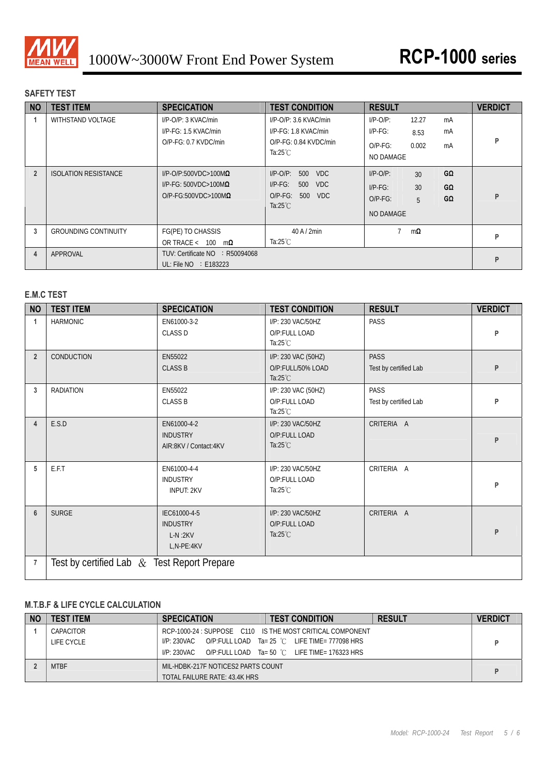

# **SAFETY TEST**

| <b>NO</b>      | <b>TEST ITEM</b>            | <b>SPECICATION</b>                                                                             | <b>TEST CONDITION</b>                                                                                        | <b>RESULT</b>                                                                                   | <b>VERDICT</b> |
|----------------|-----------------------------|------------------------------------------------------------------------------------------------|--------------------------------------------------------------------------------------------------------------|-------------------------------------------------------------------------------------------------|----------------|
|                | WITHSTAND VOLTAGE           | $I/P$ -O/P: 3 KVAC/min<br>I/P-FG: 1.5 KVAC/min<br>$O/P-FG: 0.7$ KVDC/min                       | $I/P$ -O/P: 3.6 KVAC/min<br>I/P-FG: 1.8 KVAC/min<br>$O/P-FG: 0.84$ KVDC/min<br>Ta: $25^{\circ}$ C            | $I/P-O/P$ :<br>12.27<br>mA<br>$IP-FG$ :<br>mA<br>8.53<br>0.002<br>$O/P-FG$ :<br>mA<br>NO DAMAGE | P              |
| $\overline{2}$ | <b>ISOLATION RESISTANCE</b> | $I/P$ -O/P:500VDC>100M $\Omega$<br>$I/P-FG: 500VDC > 100M\Omega$<br>$O/P-FG:500VDC>100M\Omega$ | $I/P$ -O/P:<br>500<br><b>VDC</b><br>$I/P-FG$ :<br>500<br>VDC.<br>$O/P-FG$ :<br>500 VDC<br>Ta: $25^{\circ}$ C | GΩ<br>$I/P$ -O/P:<br>30<br>30<br>GΩ<br>$I/P-FG$ :<br>GΩ<br>$O/P-FG$ :<br>5<br><b>NO DAMAGE</b>  | P              |
| 3              | <b>GROUNDING CONTINUITY</b> | FG(PE) TO CHASSIS<br>OR TRACE < 100<br>$m\Omega$                                               | $40$ A $/$ 2min<br>Ta: $25^{\circ}$ C                                                                        | $m\Omega$                                                                                       | P              |
| 4              | APPROVAL                    | TUV: Certificate NO : R50094068<br>UL: File $NO \div E183223$                                  |                                                                                                              |                                                                                                 | P              |

# **E.M.C TEST**

| <b>NO</b>      | <b>TEST ITEM</b>                              | <b>SPECICATION</b>                                         | <b>TEST CONDITION</b>                                          | <b>RESULT</b>                        | <b>VERDICT</b> |  |  |
|----------------|-----------------------------------------------|------------------------------------------------------------|----------------------------------------------------------------|--------------------------------------|----------------|--|--|
|                | <b>HARMONIC</b>                               | EN61000-3-2<br><b>CLASS D</b>                              | I/P: 230 VAC/50HZ<br>O/P:FULL LOAD<br>Ta: $25^{\circ}$ C       | <b>PASS</b>                          | P              |  |  |
| $\overline{2}$ | CONDUCTION                                    | EN55022<br><b>CLASS B</b>                                  | I/P: 230 VAC (50HZ)<br>O/P:FULL/50% LOAD<br>Ta: $25^{\circ}$ C | <b>PASS</b><br>Test by certified Lab | P              |  |  |
| 3              | <b>RADIATION</b>                              | EN55022<br><b>CLASS B</b>                                  | I/P: 230 VAC (50HZ)<br>O/P:FULL LOAD<br>Ta: $25^{\circ}$ C     | <b>PASS</b><br>Test by certified Lab | P              |  |  |
| 4              | E.S.D                                         | EN61000-4-2<br><b>INDUSTRY</b><br>AIR:8KV / Contact:4KV    | I/P: 230 VAC/50HZ<br>O/P:FULL LOAD<br>Ta: $25^{\circ}$ C       | CRITERIA A                           | P              |  |  |
| 5              | E.F.T                                         | EN61000-4-4<br><b>INDUSTRY</b><br><b>INPUT: 2KV</b>        | I/P: 230 VAC/50HZ<br>O/P:FULL LOAD<br>Ta: $25^{\circ}$ C       | CRITERIA A                           | P              |  |  |
| 6              | <b>SURGE</b>                                  | IEC61000-4-5<br><b>INDUSTRY</b><br>$L-N:2KV$<br>L,N-PE:4KV | I/P: 230 VAC/50HZ<br>O/P:FULL LOAD<br>Ta: $25^{\circ}$ C       | CRITERIA A                           | P              |  |  |
| 7              | Test by certified Lab $&$ Test Report Prepare |                                                            |                                                                |                                      |                |  |  |

# **M.T.B.F & LIFE CYCLE CALCULATION**

| <b>NO</b> | <b>TEST ITEM</b> | <b>SPECICATION</b>                 | <b>TEST CONDITION</b>                                     | <b>RESULT</b> | <b>VERDICT</b> |
|-----------|------------------|------------------------------------|-----------------------------------------------------------|---------------|----------------|
|           | CAPACITOR        |                                    | RCP-1000-24 : SUPPOSE C110 IS THE MOST CRITICAL COMPONENT |               |                |
|           | LIFE CYCLE       | I/P: 230VAC                        | O/P:FULL LOAD Ta= 25 °C LIFE TIME= 777098 HRS             |               |                |
|           |                  | I/P: 230VAC                        | O/P:FULL LOAD Ta= 50 °C LIFE TIME= 176323 HRS             |               |                |
|           | <b>MTBF</b>      | MIL-HDBK-217F NOTICES2 PARTS COUNT |                                                           |               |                |
|           |                  | TOTAL FAILURE RATE: 43.4K HRS      |                                                           |               |                |